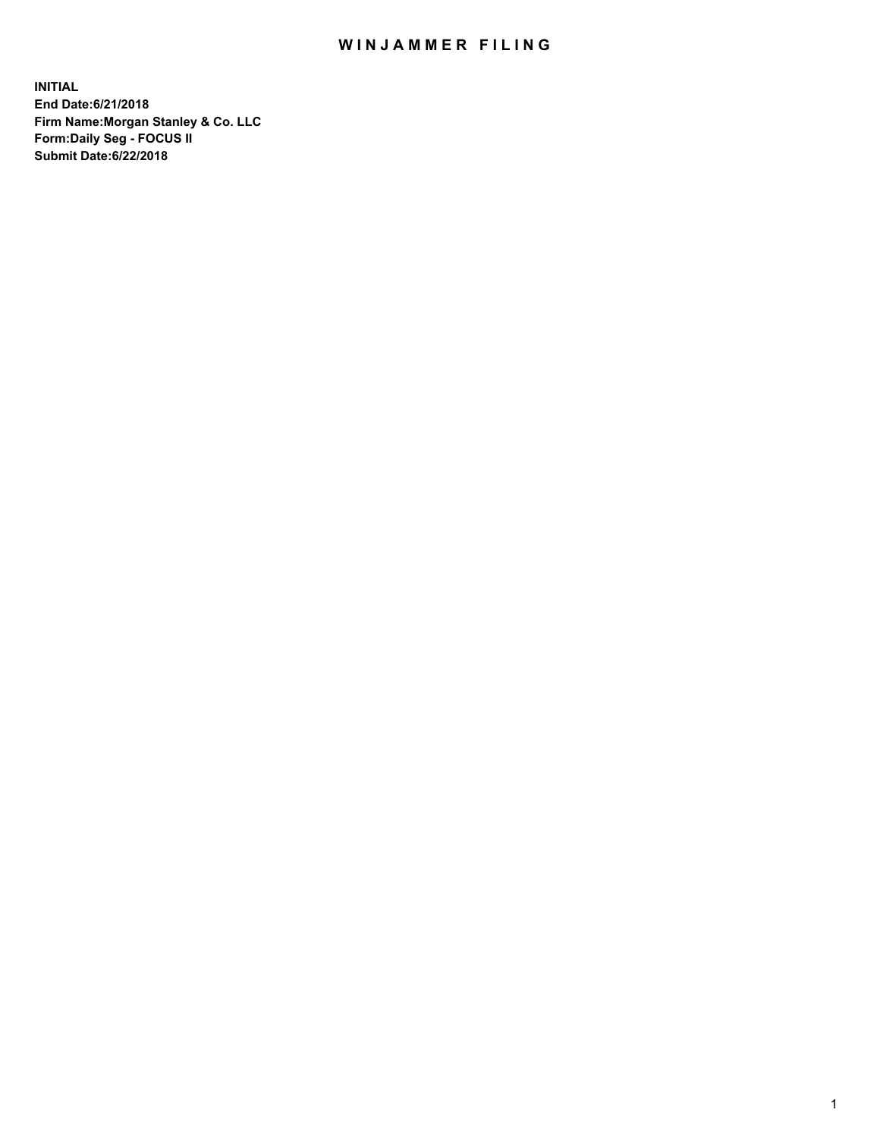## WIN JAMMER FILING

**INITIAL End Date:6/21/2018 Firm Name:Morgan Stanley & Co. LLC Form:Daily Seg - FOCUS II Submit Date:6/22/2018**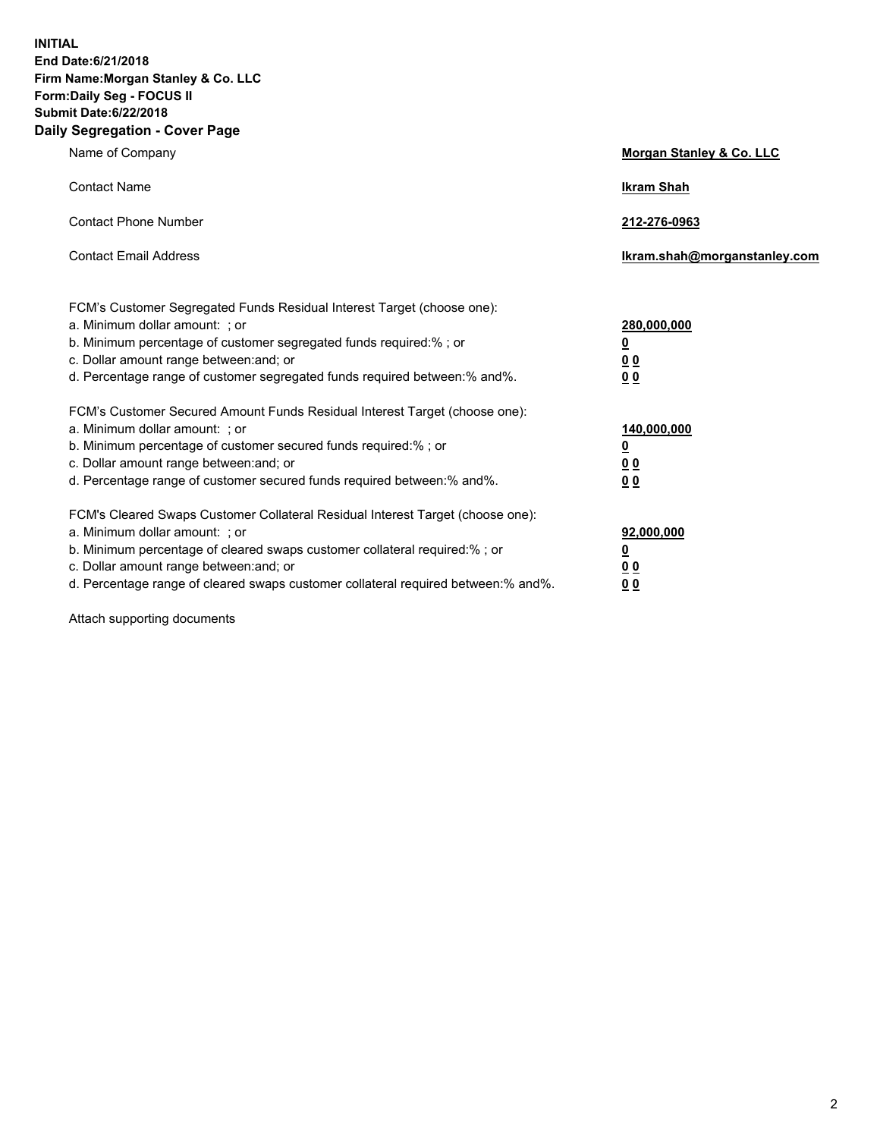**INITIAL End Date:6/21/2018 Firm Name:Morgan Stanley & Co. LLC Form:Daily Seg - FOCUS II Submit Date:6/22/2018 Daily Segregation - Cover Page**

| Name of Company                                                                                                                                                                                                                                                                                                                | Morgan Stanley & Co. LLC                               |
|--------------------------------------------------------------------------------------------------------------------------------------------------------------------------------------------------------------------------------------------------------------------------------------------------------------------------------|--------------------------------------------------------|
| <b>Contact Name</b>                                                                                                                                                                                                                                                                                                            | <b>Ikram Shah</b>                                      |
| <b>Contact Phone Number</b>                                                                                                                                                                                                                                                                                                    | 212-276-0963                                           |
| <b>Contact Email Address</b>                                                                                                                                                                                                                                                                                                   | lkram.shah@morganstanley.com                           |
| FCM's Customer Segregated Funds Residual Interest Target (choose one):<br>a. Minimum dollar amount: ; or<br>b. Minimum percentage of customer segregated funds required:% ; or<br>c. Dollar amount range between: and; or<br>d. Percentage range of customer segregated funds required between:% and%.                         | 280,000,000<br><u>0</u><br><u>0 0</u><br>0 Q           |
| FCM's Customer Secured Amount Funds Residual Interest Target (choose one):<br>a. Minimum dollar amount: ; or<br>b. Minimum percentage of customer secured funds required:%; or<br>c. Dollar amount range between: and; or<br>d. Percentage range of customer secured funds required between:% and%.                            | 140,000,000<br><u>0</u><br><u>00</u><br>0 <sub>0</sub> |
| FCM's Cleared Swaps Customer Collateral Residual Interest Target (choose one):<br>a. Minimum dollar amount: ; or<br>b. Minimum percentage of cleared swaps customer collateral required:% ; or<br>c. Dollar amount range between: and; or<br>d. Percentage range of cleared swaps customer collateral required between:% and%. | 92,000,000<br><u>0</u><br><u>00</u><br>0 <sup>0</sup>  |

Attach supporting documents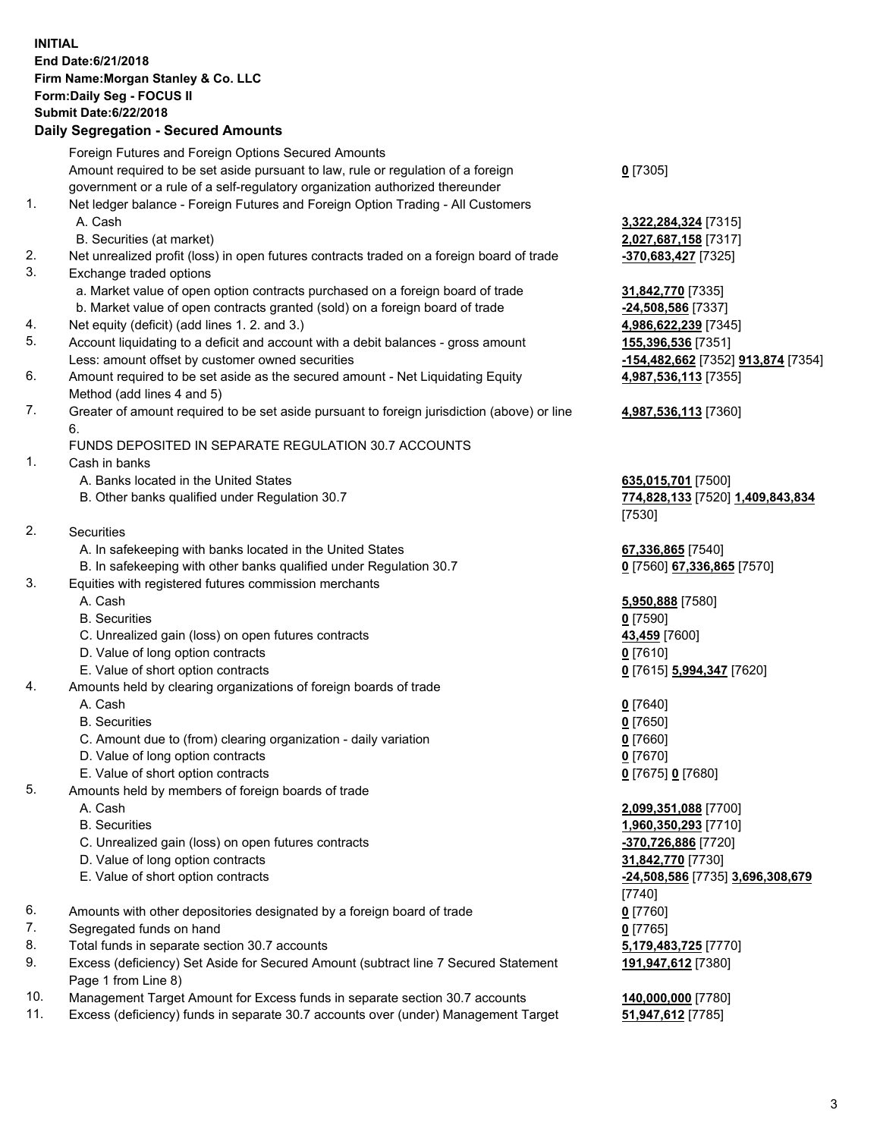## **INITIAL End Date:6/21/2018 Firm Name:Morgan Stanley & Co. LLC Form:Daily Seg - FOCUS II Submit Date:6/22/2018 Daily Segregation - Secured Amounts**

Foreign Futures and Foreign Options Secured Amounts Amount required to be set aside pursuant to law, rule or regulation of a foreign government or a rule of a self-regulatory organization authorized thereunder 1. Net ledger balance - Foreign Futures and Foreign Option Trading - All Customers A. Cash **3,322,284,324** [7315] B. Securities (at market) **2,027,687,158** [7317] 2. Net unrealized profit (loss) in open futures contracts traded on a foreign board of trade **-370,683,427** [7325] 3. Exchange traded options a. Market value of open option contracts purchased on a foreign board of trade **31,842,770** [7335] b. Market value of open contracts granted (sold) on a foreign board of trade **-24,508,586** [7337] 4. Net equity (deficit) (add lines 1. 2. and 3.) **4,986,622,239** [7345] 5. Account liquidating to a deficit and account with a debit balances - gross amount **155,396,536** [7351] Less: amount offset by customer owned securities **-154,482,662** [7352] **913,874** [7354] 6. Amount required to be set aside as the secured amount - Net Liquidating Equity Method (add lines 4 and 5) 7. Greater of amount required to be set aside pursuant to foreign jurisdiction (above) or line 6. FUNDS DEPOSITED IN SEPARATE REGULATION 30.7 ACCOUNTS 1. Cash in banks A. Banks located in the United States **635,015,701** [7500] B. Other banks qualified under Regulation 30.7 **774,828,133** [7520] **1,409,843,834** [7530] 2. Securities A. In safekeeping with banks located in the United States **67,336,865** [7540] B. In safekeeping with other banks qualified under Regulation 30.7 **0** [7560] **67,336,865** [7570] 3. Equities with registered futures commission merchants A. Cash **5,950,888** [7580] B. Securities **0** [7590] C. Unrealized gain (loss) on open futures contracts **43,459** [7600] D. Value of long option contracts **0** [7610] E. Value of short option contracts **0** [7615] **5,994,347** [7620] 4. Amounts held by clearing organizations of foreign boards of trade A. Cash **0** [7640] B. Securities **0** [7650] C. Amount due to (from) clearing organization - daily variation **0** [7660] D. Value of long option contracts **0** [7670] E. Value of short option contracts **0** [7675] **0** [7680] 5. Amounts held by members of foreign boards of trade A. Cash **2,099,351,088** [7700] B. Securities **1,960,350,293** [7710] C. Unrealized gain (loss) on open futures contracts **-370,726,886** [7720] D. Value of long option contracts **31,842,770** [7730] E. Value of short option contracts **-24,508,586** [7735] **3,696,308,679** [7740] 6. Amounts with other depositories designated by a foreign board of trade **0** [7760]

- 7. Segregated funds on hand **0** [7765]
- 8. Total funds in separate section 30.7 accounts **5,179,483,725** [7770]
- 9. Excess (deficiency) Set Aside for Secured Amount (subtract line 7 Secured Statement Page 1 from Line 8)
- 10. Management Target Amount for Excess funds in separate section 30.7 accounts **140,000,000** [7780]
- 11. Excess (deficiency) funds in separate 30.7 accounts over (under) Management Target **51,947,612** [7785]

**0** [7305]

**4,987,536,113** [7355] **4,987,536,113** [7360]

**191,947,612** [7380]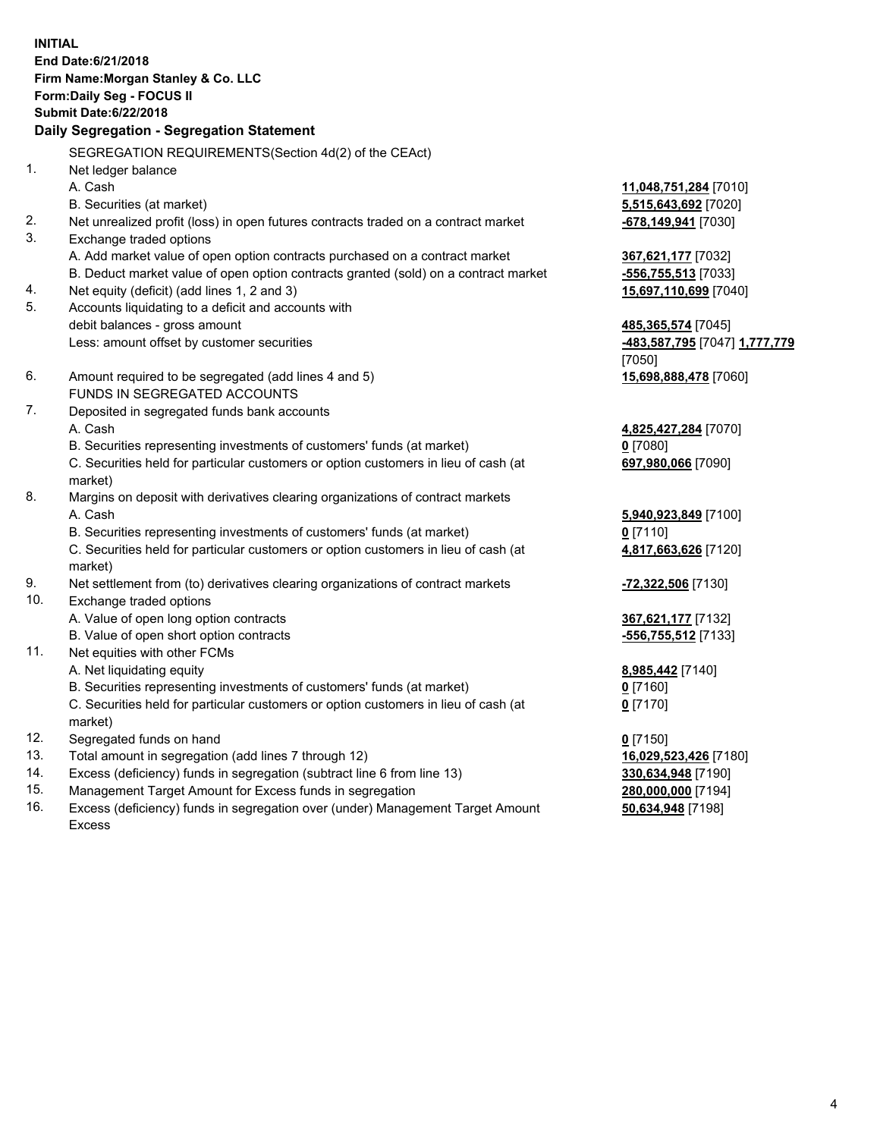**INITIAL End Date:6/21/2018 Firm Name:Morgan Stanley & Co. LLC Form:Daily Seg - FOCUS II Submit Date:6/22/2018 Daily Segregation - Segregation Statement** SEGREGATION REQUIREMENTS(Section 4d(2) of the CEAct) 1. Net ledger balance A. Cash **11,048,751,284** [7010] B. Securities (at market) **5,515,643,692** [7020] 2. Net unrealized profit (loss) in open futures contracts traded on a contract market **-678,149,941** [7030] 3. Exchange traded options A. Add market value of open option contracts purchased on a contract market **367,621,177** [7032] B. Deduct market value of open option contracts granted (sold) on a contract market **-556,755,513** [7033] 4. Net equity (deficit) (add lines 1, 2 and 3) **15,697,110,699** [7040] 5. Accounts liquidating to a deficit and accounts with debit balances - gross amount **485,365,574** [7045] Less: amount offset by customer securities **-483,587,795** [7047] **1,777,779** [7050] 6. Amount required to be segregated (add lines 4 and 5) **15,698,888,478** [7060] FUNDS IN SEGREGATED ACCOUNTS 7. Deposited in segregated funds bank accounts A. Cash **4,825,427,284** [7070] B. Securities representing investments of customers' funds (at market) **0** [7080] C. Securities held for particular customers or option customers in lieu of cash (at market) **697,980,066** [7090] 8. Margins on deposit with derivatives clearing organizations of contract markets A. Cash **5,940,923,849** [7100] B. Securities representing investments of customers' funds (at market) **0** [7110] C. Securities held for particular customers or option customers in lieu of cash (at market) **4,817,663,626** [7120] 9. Net settlement from (to) derivatives clearing organizations of contract markets **-72,322,506** [7130] 10. Exchange traded options A. Value of open long option contracts **367,621,177** [7132] B. Value of open short option contracts **-556,755,512** [7133] 11. Net equities with other FCMs A. Net liquidating equity **8,985,442** [7140] B. Securities representing investments of customers' funds (at market) **0** [7160] C. Securities held for particular customers or option customers in lieu of cash (at market) **0** [7170] 12. Segregated funds on hand **0** [7150] 13. Total amount in segregation (add lines 7 through 12) **16,029,523,426** [7180] 14. Excess (deficiency) funds in segregation (subtract line 6 from line 13) **330,634,948** [7190]

- 15. Management Target Amount for Excess funds in segregation **280,000,000** [7194]
- 16. Excess (deficiency) funds in segregation over (under) Management Target Amount Excess

**50,634,948** [7198]